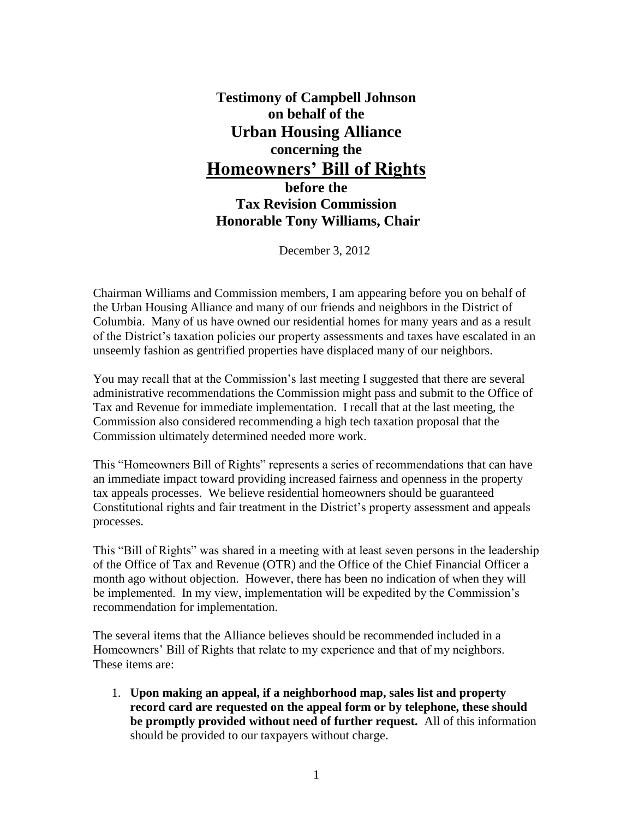## **Testimony of Campbell Johnson on behalf of the Urban Housing Alliance concerning the Homeowners' Bill of Rights**

**before the Tax Revision Commission Honorable Tony Williams, Chair**

December 3, 2012

Chairman Williams and Commission members, I am appearing before you on behalf of the Urban Housing Alliance and many of our friends and neighbors in the District of Columbia. Many of us have owned our residential homes for many years and as a result of the District's taxation policies our property assessments and taxes have escalated in an unseemly fashion as gentrified properties have displaced many of our neighbors.

You may recall that at the Commission's last meeting I suggested that there are several administrative recommendations the Commission might pass and submit to the Office of Tax and Revenue for immediate implementation. I recall that at the last meeting, the Commission also considered recommending a high tech taxation proposal that the Commission ultimately determined needed more work.

This "Homeowners Bill of Rights" represents a series of recommendations that can have an immediate impact toward providing increased fairness and openness in the property tax appeals processes. We believe residential homeowners should be guaranteed Constitutional rights and fair treatment in the District's property assessment and appeals processes.

This "Bill of Rights" was shared in a meeting with at least seven persons in the leadership of the Office of Tax and Revenue (OTR) and the Office of the Chief Financial Officer a month ago without objection. However, there has been no indication of when they will be implemented. In my view, implementation will be expedited by the Commission's recommendation for implementation.

The several items that the Alliance believes should be recommended included in a Homeowners' Bill of Rights that relate to my experience and that of my neighbors. These items are:

1. **Upon making an appeal, if a neighborhood map, sales list and property record card are requested on the appeal form or by telephone, these should be promptly provided without need of further request.** All of this information should be provided to our taxpayers without charge.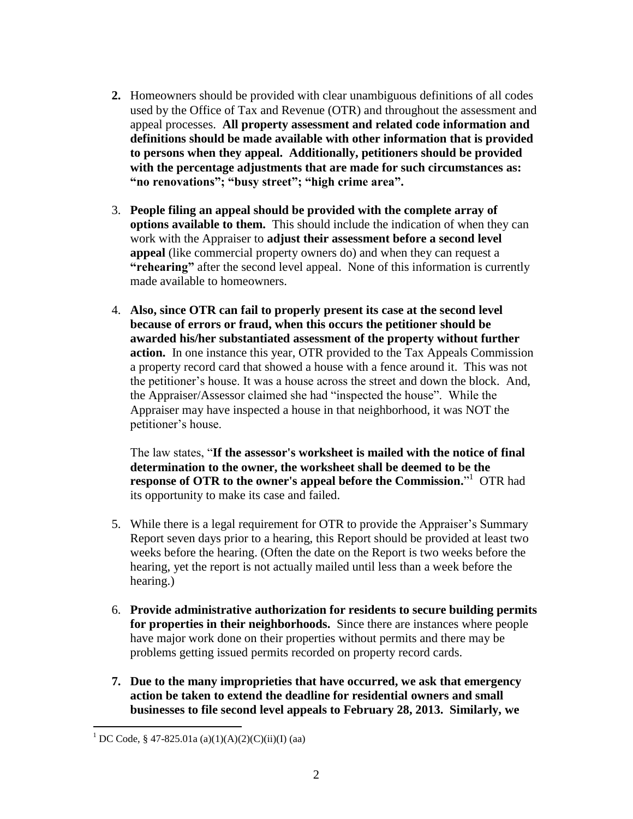- **2.** Homeowners should be provided with clear unambiguous definitions of all codes used by the Office of Tax and Revenue (OTR) and throughout the assessment and appeal processes. **All property assessment and related code information and definitions should be made available with other information that is provided to persons when they appeal. Additionally, petitioners should be provided with the percentage adjustments that are made for such circumstances as: "no renovations"; "busy street"; "high crime area".**
- 3. **People filing an appeal should be provided with the complete array of options available to them.** This should include the indication of when they can work with the Appraiser to **adjust their assessment before a second level appeal** (like commercial property owners do) and when they can request a **"rehearing"** after the second level appeal. None of this information is currently made available to homeowners.
- 4. **Also, since OTR can fail to properly present its case at the second level because of errors or fraud, when this occurs the petitioner should be awarded his/her substantiated assessment of the property without further action.** In one instance this year, OTR provided to the Tax Appeals Commission a property record card that showed a house with a fence around it. This was not the petitioner's house. It was a house across the street and down the block. And, the Appraiser/Assessor claimed she had "inspected the house". While the Appraiser may have inspected a house in that neighborhood, it was NOT the petitioner's house.

The law states, "**If the assessor's worksheet is mailed with the notice of final determination to the owner, the worksheet shall be deemed to be the**  response of OTR to the owner's appeal before the Commission."<sup>1</sup> OTR had its opportunity to make its case and failed.

- 5. While there is a legal requirement for OTR to provide the Appraiser's Summary Report seven days prior to a hearing, this Report should be provided at least two weeks before the hearing. (Often the date on the Report is two weeks before the hearing, yet the report is not actually mailed until less than a week before the hearing.)
- 6. **Provide administrative authorization for residents to secure building permits for properties in their neighborhoods.** Since there are instances where people have major work done on their properties without permits and there may be problems getting issued permits recorded on property record cards.
- **7. Due to the many improprieties that have occurred, we ask that emergency action be taken to extend the deadline for residential owners and small businesses to file second level appeals to February 28, 2013. Similarly, we**

 $\overline{a}$ 

<sup>&</sup>lt;sup>1</sup> DC Code, § 47-825.01a (a)(1)(A)(2)(C)(ii)(I) (aa)